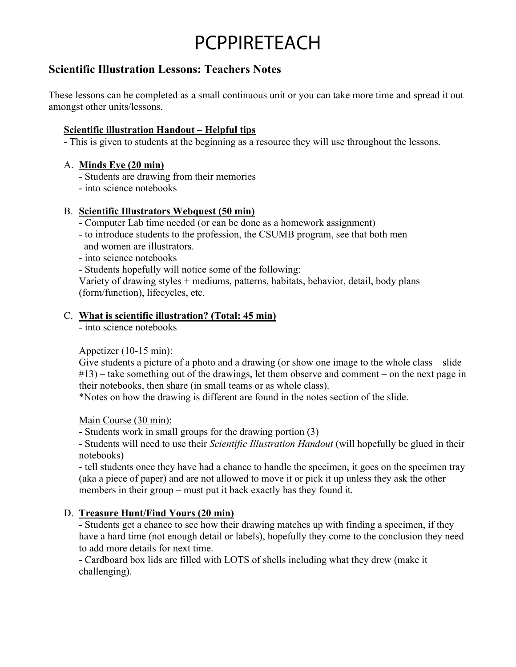## PCPPIRETEACH

### **Scientific Illustration Lessons: Teachers Notes**

These lessons can be completed as a small continuous unit or you can take more time and spread it out amongst other units/lessons.

#### **Scientific illustration Handout – Helpful tips**

- This is given to students at the beginning as a resource they will use throughout the lessons.

#### A. **Minds Eye (20 min)**

- Students are drawing from their memories
- into science notebooks

#### B. **Scientific Illustrators Webquest (50 min)**

- Computer Lab time needed (or can be done as a homework assignment)
- to introduce students to the profession, the CSUMB program, see that both men and women are illustrators.
- into science notebooks
- Students hopefully will notice some of the following:

Variety of drawing styles + mediums, patterns, habitats, behavior, detail, body plans (form/function), lifecycles, etc.

#### C. **What is scientific illustration? (Total: 45 min)**

- into science notebooks

#### Appetizer (10-15 min):

Give students a picture of a photo and a drawing (or show one image to the whole class – slide #13) – take something out of the drawings, let them observe and comment – on the next page in their notebooks, then share (in small teams or as whole class).

\*Notes on how the drawing is different are found in the notes section of the slide.

Main Course (30 min):

- Students work in small groups for the drawing portion (3)

- Students will need to use their *Scientific Illustration Handout* (will hopefully be glued in their notebooks)

- tell students once they have had a chance to handle the specimen, it goes on the specimen tray (aka a piece of paper) and are not allowed to move it or pick it up unless they ask the other members in their group – must put it back exactly has they found it.

#### D. **Treasure Hunt/Find Yours (20 min)**

- Students get a chance to see how their drawing matches up with finding a specimen, if they have a hard time (not enough detail or labels), hopefully they come to the conclusion they need to add more details for next time.

- Cardboard box lids are filled with LOTS of shells including what they drew (make it challenging).